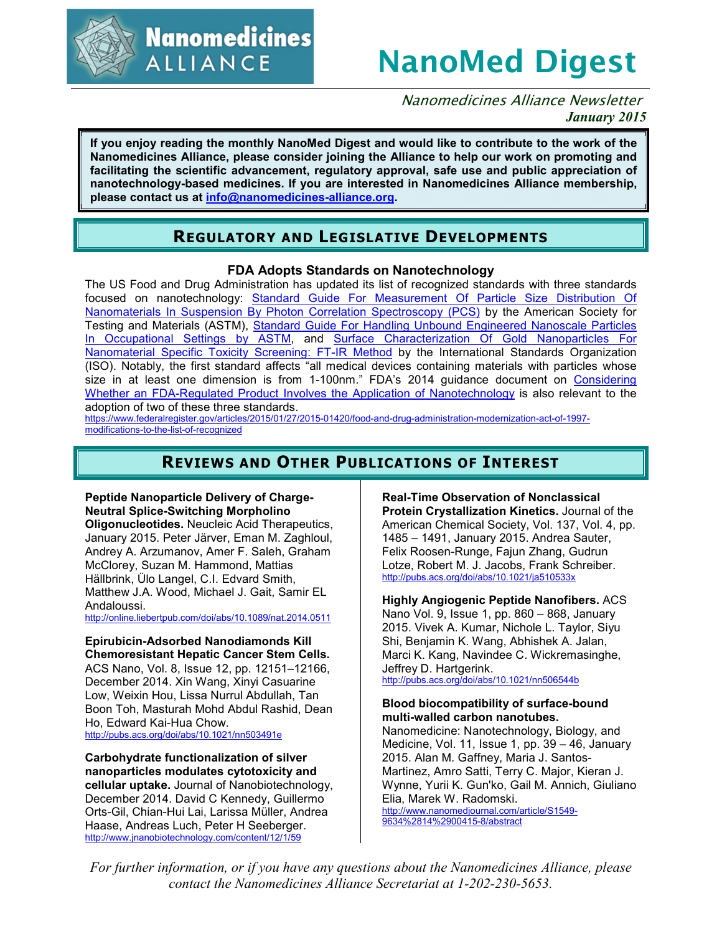

**Nanomedicines ALLIANCE** 

# **NanoMed Digest**

Nanomedicines Alliance Newsletter *January 2015*

**If you enjoy reading the monthly NanoMed Digest and would like to contribute to the work of the Nanomedicines Alliance, please consider joining the Alliance to help our work on promoting and facilitating the scientific advancement, regulatory approval, safe use and public appreciation of nanotechnology-based medicines. If you are interested in Nanomedicines Alliance membership, please contact us at info@nanomedicines-alliance.org.**

# **REGULATORY AND LEGISLATIVE DEVELOPMENTS**

## **FDA Adopts Standards on Nanotechnology**

The US Food and Drug Administration has updated its list of recognized standards with three standards focused on nanotechnology: Standard Guide For Measurement Of Particle Size Distribution Of Nanomaterials In Suspension By Photon Correlation Spectroscopy (PCS) by the American Society for Testing and Materials (ASTM), Standard Guide For Handling Unbound Engineered Nanoscale Particles In Occupational Settings by ASTM, and Surface Characterization Of Gold Nanoparticles For Nanomaterial Specific Toxicity Screening: FT-IR Method by the International Standards Organization (ISO). Notably, the first standard affects "all medical devices containing materials with particles whose size in at least one dimension is from 1-100nm." FDA's 2014 guidance document on Considering Whether an FDA-Regulated Product Involves the Application of Nanotechnology is also relevant to the adoption of two of these three standards.

https://www.federalregister.gov/articles/2015/01/27/2015-01420/food-and-drug-administration-modernization-act-of-1997 modifications-to-the-list-of-recognized

# **REVIEWS AND OTHER PUBLICATIONS OF INTEREST**

#### **Peptide Nanoparticle Delivery of Charge-Neutral Splice-Switching Morpholino**

**Oligonucleotides.** Neucleic Acid Therapeutics, January 2015. Peter Järver, Eman M. Zaghloul, Andrey A. Arzumanov, Amer F. Saleh, Graham McClorey, Suzan M. Hammond, Mattias Hällbrink, Ülo Langel, C.I. Edvard Smith, Matthew J.A. Wood, Michael J. Gait, Samir EL Andaloussi.

http://online.liebertpub.com/doi/abs/10.1089/nat.2014.0511

## **Epirubicin-Adsorbed Nanodiamonds Kill Chemoresistant Hepatic Cancer Stem Cells.**

ACS Nano, Vol. 8, Issue 12, pp. 12151–12166, December 2014. Xin Wang, Xinyi Casuarine Low, Weixin Hou, Lissa Nurrul Abdullah, Tan Boon Toh, Masturah Mohd Abdul Rashid, Dean Ho, Edward Kai-Hua Chow.

http://pubs.acs.org/doi/abs/10.1021/nn503491e

**Carbohydrate functionalization of silver nanoparticles modulates cytotoxicity and cellular uptake.** Journal of Nanobiotechnology, December 2014. David C Kennedy, Guillermo Orts-Gil, Chian-Hui Lai, Larissa Müller, Andrea Haase, Andreas Luch, Peter H Seeberger. http://www.jnanobiotechnology.com/content/12/1/59

**Real-Time Observation of Nonclassical Protein Crystallization Kinetics.** Journal of the American Chemical Society, Vol. 137, Vol. 4, pp. 1485 – 1491, January 2015. Andrea Sauter, Felix Roosen-Runge, Fajun Zhang, Gudrun Lotze, Robert M. J. Jacobs, Frank Schreiber. http://pubs.acs.org/doi/abs/10.1021/ja510533x

**Highly Angiogenic Peptide Nanofibers.** ACS Nano Vol. 9, Issue 1, pp. 860 – 868, January 2015. Vivek A. Kumar, Nichole L. Taylor, Siyu Shi, Benjamin K. Wang, Abhishek A. Jalan, Marci K. Kang, Navindee C. Wickremasinghe, Jeffrey D. Hartgerink. http://pubs.acs.org/doi/abs/10.1021/nn506544b

## **Blood biocompatibility of surface-bound multi-walled carbon nanotubes.**

Nanomedicine: Nanotechnology, Biology, and Medicine, Vol. 11, Issue 1, pp. 39 – 46, January 2015. Alan M. Gaffney, Maria J. Santos-Martinez, Amro Satti, Terry C. Major, Kieran J. Wynne, Yurii K. Gun'ko, Gail M. Annich, Giuliano Elia, Marek W. Radomski. http://www.nanomedjournal.com/article/S1549- 9634%2814%2900415-8/abstract

*For further information, or if you have any questions about the Nanomedicines Alliance, please contact the Nanomedicines Alliance Secretariat at 1-202-230-5653.*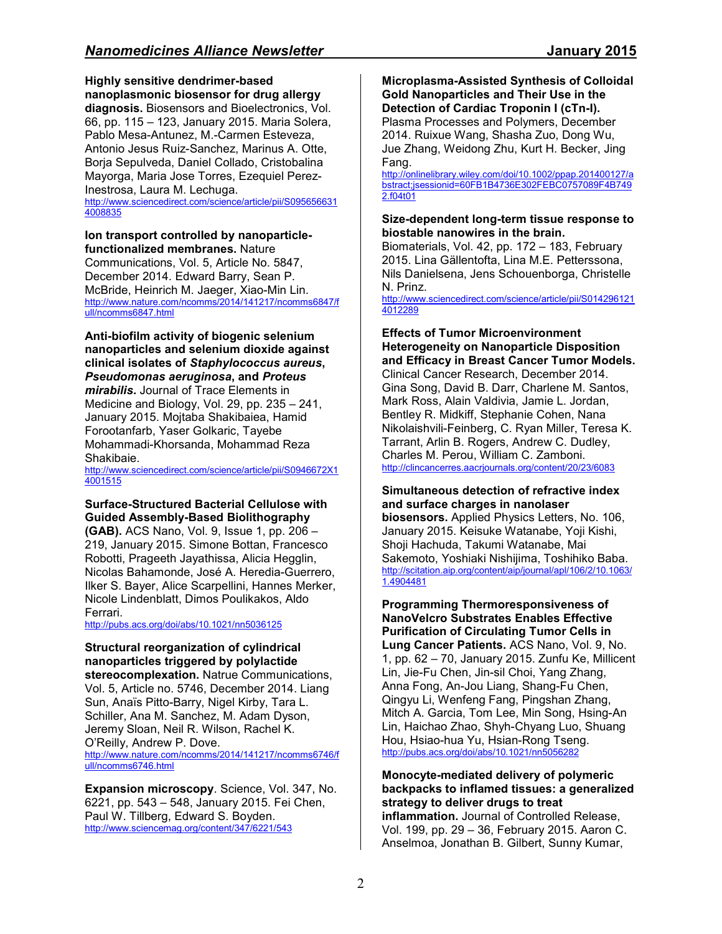**Highly sensitive dendrimer-based nanoplasmonic biosensor for drug allergy diagnosis.** Biosensors and Bioelectronics, Vol. 66, pp. 115 – 123, January 2015. Maria Solera, Pablo Mesa-Antunez, M.-Carmen Esteveza, Antonio Jesus Ruiz-Sanchez, Marinus A. Otte, Borja Sepulveda, Daniel Collado, Cristobalina Mayorga, Maria Jose Torres, Ezequiel Perez-Inestrosa, Laura M. Lechuga.

http://www.sciencedirect.com/science/article/pii/S095656631 4008835

#### **Ion transport controlled by nanoparticlefunctionalized membranes.** Nature

Communications, Vol. 5, Article No. 5847, December 2014. Edward Barry, Sean P. McBride, Heinrich M. Jaeger, Xiao-Min Lin. http://www.nature.com/ncomms/2014/141217/ncomms6847/f ull/ncomms6847.html

**Anti-biofilm activity of biogenic selenium nanoparticles and selenium dioxide against clinical isolates of** *Staphylococcus aureus***,**  *Pseudomonas aeruginosa***, and** *Proteus mirabilis***.** Journal of Trace Elements in Medicine and Biology, Vol. 29, pp. 235 – 241, January 2015. Mojtaba Shakibaiea, Hamid Forootanfarb, Yaser Golkaric, Tayebe Mohammadi-Khorsanda, Mohammad Reza Shakibaie.

http://www.sciencedirect.com/science/article/pii/S0946672X1 4001515

### **Surface-Structured Bacterial Cellulose with Guided Assembly-Based Biolithography**

**(GAB).** ACS Nano, Vol. 9, Issue 1, pp. 206 – 219, January 2015. Simone Bottan, Francesco Robotti, Prageeth Jayathissa, Alicia Hegglin, Nicolas Bahamonde, José A. Heredia-Guerrero, Ilker S. Bayer, Alice Scarpellini, Hannes Merker, Nicole Lindenblatt, Dimos Poulikakos, Aldo Ferrari.

http://pubs.acs.org/doi/abs/10.1021/nn5036125

## **Structural reorganization of cylindrical nanoparticles triggered by polylactide**

**stereocomplexation.** Natrue Communications, Vol. 5, Article no. 5746, December 2014. Liang Sun, Anaïs Pitto-Barry, Nigel Kirby, Tara L. Schiller, Ana M. Sanchez, M. Adam Dyson, Jeremy Sloan, Neil R. Wilson, Rachel K. O'Reilly, Andrew P. Dove. http://www.nature.com/ncomms/2014/141217/ncomms6746/f ull/ncomms6746.html

**Expansion microscopy**. Science, Vol. 347, No. 6221, pp. 543 – 548, January 2015. Fei Chen, Paul W. Tillberg, Edward S. Boyden. http://www.sciencemag.org/content/347/6221/543

**Microplasma-Assisted Synthesis of Colloidal Gold Nanoparticles and Their Use in the Detection of Cardiac Troponin I (cTn-I).**

Plasma Processes and Polymers, December 2014. Ruixue Wang, Shasha Zuo, Dong Wu, Jue Zhang, Weidong Zhu, Kurt H. Becker, Jing Fang.

http://onlinelibrary.wiley.com/doi/10.1002/ppap.201400127/a bstract;jsessionid=60FB1B4736E302FEBC0757089F4B749 2.f04t01

#### **Size-dependent long-term tissue response to biostable nanowires in the brain.**

Biomaterials, Vol. 42, pp. 172 – 183, February 2015. Lina Gällentofta, Lina M.E. Petterssona, Nils Danielsena, Jens Schouenborga, Christelle N. Prinz.

http://www.sciencedirect.com/science/article/pii/S014296121 4012289

#### **Effects of Tumor Microenvironment Heterogeneity on Nanoparticle Disposition and Efficacy in Breast Cancer Tumor Models.**

Clinical Cancer Research, December 2014. Gina Song, David B. Darr, Charlene M. Santos, Mark Ross, Alain Valdivia, Jamie L. Jordan, Bentley R. Midkiff, Stephanie Cohen, Nana Nikolaishvili-Feinberg, C. Ryan Miller, Teresa K. Tarrant, Arlin B. Rogers, Andrew C. Dudley, Charles M. Perou, William C. Zamboni. http://clincancerres.aacrjournals.org/content/20/23/6083

#### **Simultaneous detection of refractive index and surface charges in nanolaser biosensors.** Applied Physics Letters, No. 106,

January 2015. Keisuke Watanabe, Yoji Kishi, Shoji Hachuda, Takumi Watanabe, Mai Sakemoto, Yoshiaki Nishijima, Toshihiko Baba. http://scitation.aip.org/content/aip/journal/apl/106/2/10.1063/ 1.4904481

**Programming Thermoresponsiveness of NanoVelcro Substrates Enables Effective Purification of Circulating Tumor Cells in Lung Cancer Patients.** ACS Nano, Vol. 9, No. 1, pp. 62 – 70, January 2015. Zunfu Ke, Millicent Lin, Jie-Fu Chen, Jin-sil Choi, Yang Zhang, Anna Fong, An-Jou Liang, Shang-Fu Chen, Qingyu Li, Wenfeng Fang, Pingshan Zhang, Mitch A. Garcia, Tom Lee, Min Song, Hsing-An Lin, Haichao Zhao, Shyh-Chyang Luo, Shuang Hou, Hsiao-hua Yu, Hsian-Rong Tseng. http://pubs.acs.org/doi/abs/10.1021/nn5056282

#### **Monocyte-mediated delivery of polymeric backpacks to inflamed tissues: a generalized strategy to deliver drugs to treat inflammation.** Journal of Controlled Release, Vol. 199, pp. 29 – 36, February 2015. Aaron C. Anselmoa, Jonathan B. Gilbert, Sunny Kumar,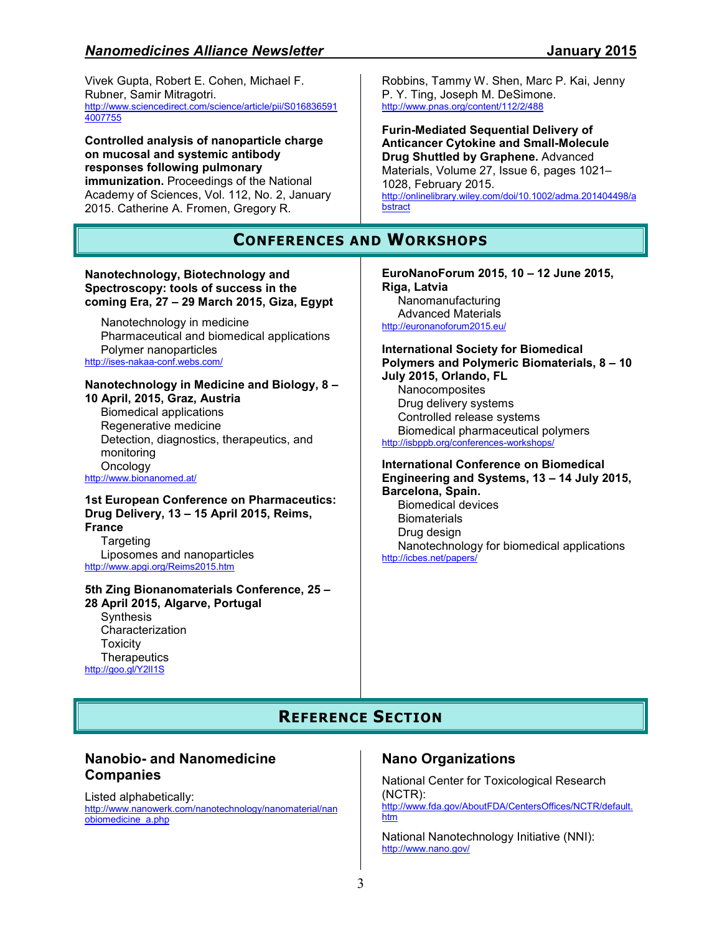Vivek Gupta, Robert E. Cohen, Michael F. Rubner, Samir Mitragotri. http://www.sciencedirect.com/science/article/pii/S016836591 4007755

**Controlled analysis of nanoparticle charge on mucosal and systemic antibody responses following pulmonary immunization.** Proceedings of the National Academy of Sciences, Vol. 112, No. 2, January 2015. Catherine A. Fromen, Gregory R.

# **CONFERENCES AND WORKSHOPS**

**bstract** 

#### **Nanotechnology, Biotechnology and Spectroscopy: tools of success in the coming Era, 27 – 29 March 2015, Giza, Egypt**

Nanotechnology in medicine Pharmaceutical and biomedical applications Polymer nanoparticles http://ises-nakaa-conf.webs.com/

#### **Nanotechnology in Medicine and Biology, 8 – 10 April, 2015, Graz, Austria**

Biomedical applications Regenerative medicine Detection, diagnostics, therapeutics, and monitoring **Oncology** http://www.bionanomed.at/

**1st European Conference on Pharmaceutics: Drug Delivery, 13 – 15 April 2015, Reims, France Targeting** 

Liposomes and nanoparticles http://www.apgi.org/Reims2015.htm

#### **5th Zing Bionanomaterials Conference, 25 – 28 April 2015, Algarve, Portugal Synthesis** Characterization Toxicity

**Therapeutics** http://goo.gl/Y2lI1S

**EuroNanoForum 2015, 10 – 12 June 2015, Riga, Latvia**  Nanomanufacturing Advanced Materials http://euronanoforum2015.eu/

Robbins, Tammy W. Shen, Marc P. Kai, Jenny

http://onlinelibrary.wiley.com/doi/10.1002/adma.201404498/a

**Furin-Mediated Sequential Delivery of Anticancer Cytokine and Small-Molecule Drug Shuttled by Graphene.** Advanced Materials, Volume 27, Issue 6, pages 1021–

P. Y. Ting, Joseph M. DeSimone. http://www.pnas.org/content/112/2/488

1028, February 2015.

**International Society for Biomedical Polymers and Polymeric Biomaterials, 8 – 10 July 2015, Orlando, FL** 

Nanocomposites Drug delivery systems Controlled release systems Biomedical pharmaceutical polymers http://isbppb.org/conferences-workshops/

#### **International Conference on Biomedical Engineering and Systems, 13 – 14 July 2015, Barcelona, Spain.**  Biomedical devices

**Biomaterials** Drug design Nanotechnology for biomedical applications http://icbes.net/papers/

# **REFERENCE SECTION**

# **Nanobio- and Nanomedicine Companies**

Listed alphabetically: http://www.nanowerk.com/nanotechnology/nanomaterial/nan obiomedicine\_a.php

## **Nano Organizations**

National Center for Toxicological Research (NCTR): http://www.fda.gov/AboutFDA/CentersOffices/NCTR/default. htm

National Nanotechnology Initiative (NNI): http://www.nano.gov/